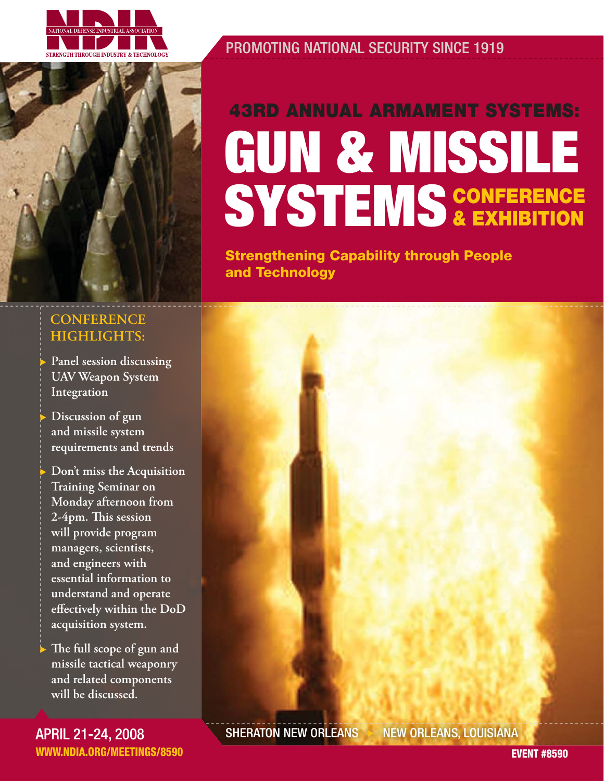

PROMOTING NATIONAL SECURITY SINCE 1919

# **GUN & MISSILE SYSTEMS CONFERENCE & EXHIBITION 43RD ANNUAL ARMAMENT SYSTEMS:**

**Strengthening Capability through People and Technology**

#### **CONFERENCE HIGHLIGHTS:**

Panel session discussing **UAV Weapon System Integration** 

Discussion of gun **and missile system requirements and trends**

Don't miss the Acquisition  **Training Seminar on Monday afternoon from**  2-4pm. This session **will provide program managers, scientists, and engineers with essential information to understand and operate**  effectively within the DoD **acquisition system.**

The full scope of gun and **missile tactical weaponry and related components will be discussed.**

APRIL 21-24, 2008 **WWW.NDIA.ORG/MEETINGS/8590**

SHERATON NEW ORLEANS > NEW ORLEANS, LOUISIANA

**EVENT #8590**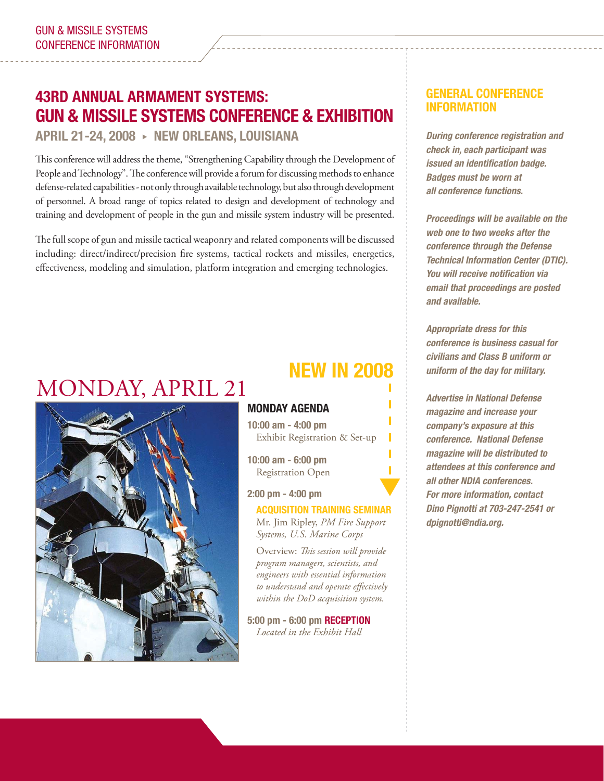### **43RD ANNUAL ARMAMENT SYSTEMS: GUN & MISSILE SYSTEMS CONFERENCE & EXHIBITION**

**APRIL 21-24, 2008** X **NEW ORLEANS, LOUISIANA**

This conference will address the theme, "Strengthening Capability through the Development of People and Technology". The conference will provide a forum for discussing methods to enhance defense-related capabilities - not only through available technology, but also through development of personnel. A broad range of topics related to design and development of technology and training and development of people in the gun and missile system industry will be presented.

The full scope of gun and missile tactical weaponry and related components will be discussed including: direct/indirect/precision fire systems, tactical rockets and missiles, energetics, effectiveness, modeling and simulation, platform integration and emerging technologies.

# MONDAY, APRIL 21



### **NEW IN 2008**

#### **MONDAY AGENDA**

**10:00 am - 4:00 pm** Exhibit Registration & Set-up

**10:00 am - 6:00 pm** Registration Open

**2:00 pm - 4:00 pm**

### $\overline{\blacktriangledown}$ **ACQUISITION TRAINING SEMINAR**

Mr. Jim Ripley, *PM Fire Support Systems, U.S. Marine Corps*

Overview: This session will provide *program managers, scientists, and engineers with essential information*  to understand and operate effectively *within the DoD acquisition system.*

**5:00 pm - 6:00 pm RECEPTION** *Located in the Exhibit Hall*

#### **GENERAL CONFERENCE INFORMATION**

*During conference registration and check in, each participant was issued an identification badge. Badges must be worn at*   $all$  conference functions.

 *Proceedings will be available on the web one to two weeks after the conference through the Defense Technical Information Center (DTIC). You will receive notification via email that proceedings are posted and available.*

 *Appropriate dress for this conference is business casual for civilians and Class B uniform or uniform of the day for military.*

 *Advertise in National Defense magazine and increase your company's exposure at this conference. National Defense magazine will be distributed to attendees at this conference and all other NDIA conferences. For more information, contact Dino Pignotti at 703-247-2541 or dpignotti@ndia.org.*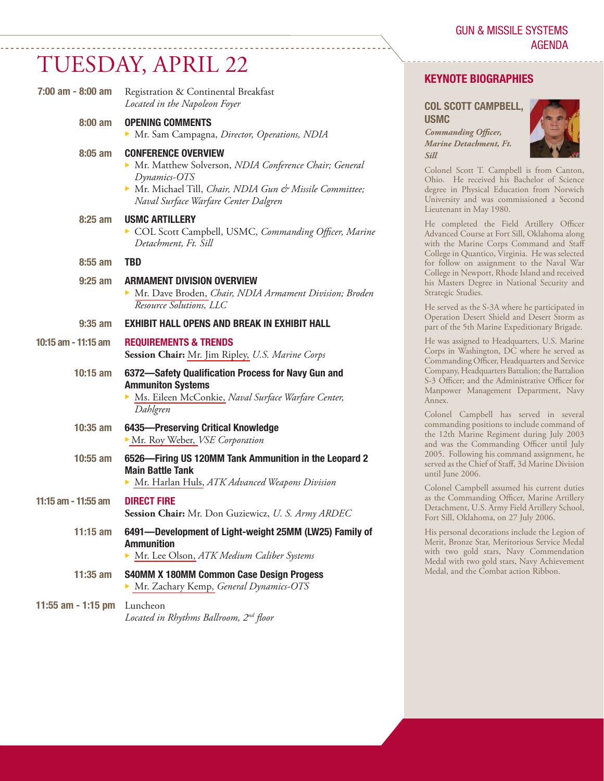# TUESDAY, APRIL 22

 **7:00 am - 8:00 am** Registration & Continental Breakfast

| 7.00 alli - 0.00 alli | Registration & Continental Dreakrast<br>Located in the Napoleon Foyer                                                                                                                                 |
|-----------------------|-------------------------------------------------------------------------------------------------------------------------------------------------------------------------------------------------------|
| $8:00 \text{ am}$     | <b>OPENING COMMENTS</b>                                                                                                                                                                               |
|                       | Mr. Sam Campagna, Director, Operations, NDIA                                                                                                                                                          |
| $8:05$ am             | <b>CONFERENCE OVERVIEW</b><br>Mr. Matthew Solverson, NDIA Conference Chair; General<br>Dynamics-OTS<br>Mr. Michael Till, Chair, NDIA Gun & Missile Committee;<br>Naval Surface Warfare Center Dalgren |
| $8:25$ am             | <b>USMC ARTILLERY</b><br>COL Scott Campbell, USMC, Commanding Officer, Marine<br>Detachment, Ft. Sill                                                                                                 |
| $8:55$ am             | <b>TBD</b>                                                                                                                                                                                            |
| $9:25$ am             | <b>ARMAMENT DIVISION OVERVIEW</b><br>Mr. Dave Broden, Chair, NDIA Armament Division; Broden<br><b>Resource Solutions, LLC</b>                                                                         |
| $9:35$ am             | <b>EXHIBIT HALL OPENS AND BREAK IN EXHIBIT HALL</b>                                                                                                                                                   |
| 10:15 am - 11:15 am   | <b>REQUIREMENTS &amp; TRENDS</b><br>Session Chair: Mr. Jim Ripley, U.S. Marine Corps                                                                                                                  |
| $10:15$ am            | 6372-Safety Qualification Process for Navy Gun and<br><b>Ammuniton Systems</b><br>Ms. Eileen McConkie, Naval Surface Warfare Center,<br>Dahlgren                                                      |
| $10:35$ am            | 6435-Preserving Critical Knowledge<br>Mr. Roy Weber, VSE Corporation                                                                                                                                  |
| $10:55$ am            | 6526-Firing US 120MM Tank Ammunition in the Leopard 2<br><b>Main Battle Tank</b><br>Mr. Harlan Huls, ATK Advanced Weapons Division                                                                    |
| 11:15 am - 11:55 am   | <b>DIRECT FIRE</b><br>Session Chair: Mr. Don Guziewicz, U. S. Army ARDEC                                                                                                                              |
| $11:15$ am            | 6491-Development of Light-weight 25MM (LW25) Family of<br><b>Ammunition</b><br>Mr. Lee Olson, ATK Medium Caliber Systems                                                                              |
| $11:35$ am            | <b>S40MM X 180MM Common Case Design Progess</b><br>Mr. Zachary Kemp, General Dynamics-OTS                                                                                                             |
| 11:55 am - 1:15 pm    | Luncheon<br>Located in Rhythms Ballroom, 2nd floor                                                                                                                                                    |

#### **KEYNOTE BIOGRAPHIES**

#### **COL SCOTT CAMPBELL, USMC**

*Commanding Officer, Marine Detachment, Ft.* 

*Sill*



Colonel Scott T. Campbell is from Canton, Ohio. He received his Bachelor of Science degree in Physical Education from Norwich University and was commissioned a Second Lieutenant in May 1980.

He completed the Field Artillery Officer Advanced Course at Fort Sill, Oklahoma along with the Marine Corps Command and Staff College in Quantico, Virginia. He was selected for follow on assignment to the Naval War College in Newport, Rhode Island and received his Masters Degree in National Security and Strategic Studies.

He served as the S-3A where he participated in Operation Desert Shield and Desert Storm as part of the 5th Marine Expeditionary Brigade.

He was assigned to Headquarters, U.S. Marine Corps in Washington, DC where he served as Commanding Officer, Headquarters and Service Company, Headquarters Battalion; the Battalion S-3 Officer; and the Administrative Officer for Manpower Management Department, Navy Annex.

Colonel Campbell has served in several commanding positions to include command of the 12th Marine Regiment during July 2003 and was the Commanding Officer until July 2005. Following his command assignment, he served as the Chief of Staff, 3d Marine Division until June 2006.

Colonel Campbell assumed his current duties as the Commanding Officer, Marine Artillery Detachment, U.S. Army Field Artillery School, Fort Sill, Oklahoma, on 27 July 2006.

His personal decorations include the Legion of Merit, Bronze Star, Meritorious Service Medal with two gold stars, Navy Commendation Medal with two gold stars, Navy Achievement Medal, and the Combat action Ribbon.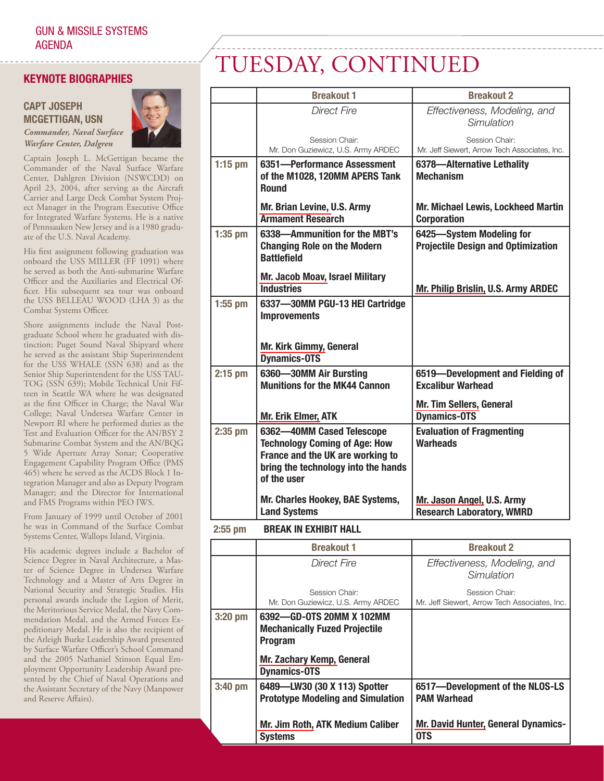#### **KEYNOTE BIOGRAPHIES**

#### **CAPT JOSEPH MCGETTIGAN, USN**

*Warfare Center, Dalgren*



Captain Joseph L. McGettigan became the Commander of the Naval Surface Warfare Center, Dahlgren Division (NSWCDD) on April 23, 2004, after serving as the Aircraft Carrier and Large Deck Combat System Project Manager in the Program Executive Office for Integrated Warfare Systems. He is a native of Pennsauken New Jersey and is a 1980 graduate of the U.S. Naval Academy.

His first assignment following graduation was onboard the USS MILLER (FF 1091) where he served as both the Anti-submarine Warfare Officer and the Auxiliaries and Electrical Officer. His subsequent sea tour was onboard the USS BELLEAU WOOD (LHA 3) as the Combat Systems Officer.

Shore assignments include the Naval Postgraduate School where he graduated with distinction; Puget Sound Naval Shipyard where he served as the assistant Ship Superintendent for the USS WHALE (SSN 638) and as the Senior Ship Superintendent for the USS TAU-TOG (SSN 639); Mobile Technical Unit Fifteen in Seattle WA where he was designated as the first Officer in Charge; the Naval War College; Naval Undersea Warfare Center in Newport RI where he performed duties as the Test and Evaluation Officer for the AN/BSY 2 Submarine Combat System and the AN/BQG 5 Wide Aperture Array Sonar; Cooperative Engagement Capability Program Office (PMS 465) where he served as the ACDS Block 1 Integration Manager and also as Deputy Program Manager; and the Director for International and FMS Programs within PEO IWS.

From January of 1999 until October of 2001 he was in Command of the Surface Combat Systems Center, Wallops Island, Virginia.

His academic degrees include a Bachelor of Science Degree in Naval Architecture, a Master of Science Degree in Undersea Warfare Technology and a Master of Arts Degree in National Security and Strategic Studies. His personal awards include the Legion of Merit, the Meritorious Service Medal, the Navy Commendation Medal, and the Armed Forces Expeditionary Medal. He is also the recipient of the Arleigh Burke Leadership Award presented by Surface Warfare Officer's School Command and the 2005 Nathaniel Stinson Equal Employment Opportunity Leadership Award presented by the Chief of Naval Operations and the Assistant Secretary of the Navy (Manpower and Reserve Affairs).

# TUESDAY, CONTINUED

|           | <b>Breakout 1</b>                                                                                                                                           | <b>Breakout 2</b>                                                     |
|-----------|-------------------------------------------------------------------------------------------------------------------------------------------------------------|-----------------------------------------------------------------------|
|           | <b>Direct Fire</b>                                                                                                                                          | Effectiveness, Modeling, and<br>Simulation                            |
|           | Session Chair:<br>Mr. Don Guziewicz, U.S. Army ARDEC                                                                                                        | Session Chair:<br>Mr. Jeff Siewert, Arrow Tech Associates, Inc.       |
| $1:15$ pm | 6351-Performance Assessment<br>of the M1028, 120MM APERS Tank<br><b>Round</b>                                                                               | 6378-Alternative Lethality<br><b>Mechanism</b>                        |
|           | Mr. Brian Levine, U.S. Army<br><b>Armament Research</b>                                                                                                     | Mr. Michael Lewis, Lockheed Martin<br><b>Corporation</b>              |
| $1:35$ pm | 6338-Ammunition for the MBT's<br><b>Changing Role on the Modern</b><br><b>Battlefield</b>                                                                   | 6425-System Modeling for<br><b>Projectile Design and Optimization</b> |
|           | Mr. Jacob Moav, Israel Military<br><b>Industries</b>                                                                                                        | Mr. Philip Brislin, U.S. Army ARDEC                                   |
| $1:55$ pm | 6337-30MM PGU-13 HEI Cartridge<br><b>Improvements</b>                                                                                                       |                                                                       |
|           | <b>Mr. Kirk Gimmy, General</b><br><b>Dynamics-OTS</b>                                                                                                       |                                                                       |
| $2:15$ pm | 6360-30MM Air Bursting<br><b>Munitions for the MK44 Cannon</b>                                                                                              | 6519-Development and Fielding of<br><b>Excalibur Warhead</b>          |
|           | <b>Mr. Erik Elmer, ATK</b>                                                                                                                                  | <b>Mr. Tim Sellers, General</b><br><b>Dynamics-OTS</b>                |
| $2:35$ pm | 6362-40MM Cased Telescope<br><b>Technology Coming of Age: How</b><br>France and the UK are working to<br>bring the technology into the hands<br>of the user | <b>Evaluation of Fragmenting</b><br><b>Warheads</b>                   |
|           | Mr. Charles Hookey, BAE Systems,<br><b>Land Systems</b>                                                                                                     | Mr. Jason Angel, U.S. Army<br><b>Research Laboratory, WMRD</b>        |

#### **2:55 pm BREAK IN EXHIBIT HALL**

|           | <b>Breakout 1</b>                                                                                                                             | <b>Breakout 2</b>                                               |
|-----------|-----------------------------------------------------------------------------------------------------------------------------------------------|-----------------------------------------------------------------|
|           | Direct Fire                                                                                                                                   | Effectiveness, Modeling, and<br>Simulation                      |
|           | Session Chair:<br>Mr. Don Guziewicz, U.S. Army ARDEC                                                                                          | Session Chair:<br>Mr. Jeff Siewert, Arrow Tech Associates, Inc. |
| 3:20 pm   | 6392-GD-0TS 20MM X 102MM<br><b>Mechanically Fuzed Projectile</b><br><b>Program</b><br><b>Mr. Zachary Kemp, General</b><br><b>Dynamics-OTS</b> |                                                                 |
| $3:40$ pm | 6489-LW30 (30 X 113) Spotter<br><b>Prototype Modeling and Simulation</b>                                                                      | 6517-Development of the NLOS-LS<br><b>PAM Warhead</b>           |
|           | <b>Mr. Jim Roth, ATK Medium Caliber</b><br><b>Systems</b>                                                                                     | <b>Mr. David Hunter, General Dynamics-</b><br>0TS               |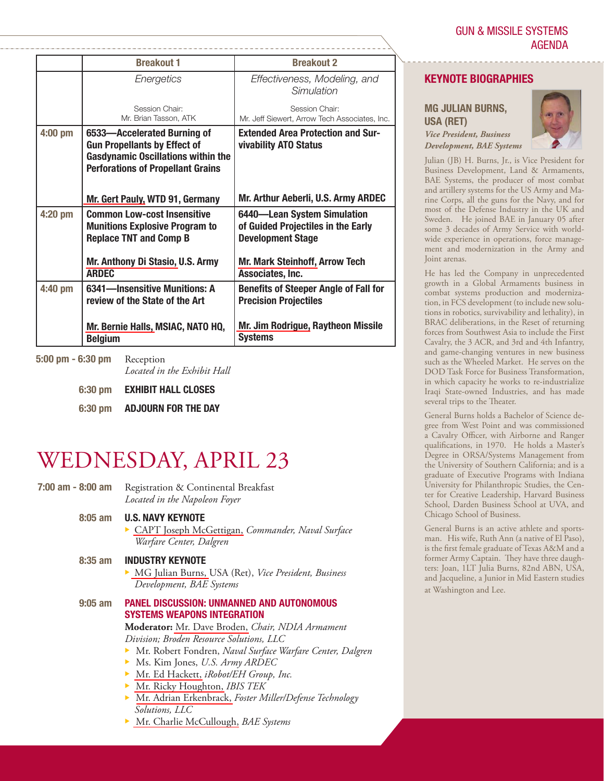|           | <b>Breakout 1</b>                                                                                                                                           | <b>Breakout 2</b>                                                                             |
|-----------|-------------------------------------------------------------------------------------------------------------------------------------------------------------|-----------------------------------------------------------------------------------------------|
|           | Energetics                                                                                                                                                  | Effectiveness, Modeling, and<br>Simulation                                                    |
|           | Session Chair:<br>Mr. Brian Tasson, ATK                                                                                                                     | Session Chair:<br>Mr. Jeff Siewert, Arrow Tech Associates, Inc.                               |
| $4:00$ pm | 6533-Accelerated Burning of<br><b>Gun Propellants by Effect of</b><br><b>Gasdynamic Oscillations within the</b><br><b>Perforations of Propellant Grains</b> | <b>Extended Area Protection and Sur-</b><br>vivability ATO Status                             |
|           | Mr. Gert Pauly, WTD 91, Germany                                                                                                                             | Mr. Arthur Aeberli, U.S. Army ARDEC                                                           |
| 4:20 pm   | <b>Common Low-cost Insensitive</b><br><b>Munitions Explosive Program to</b><br><b>Replace TNT and Comp B</b>                                                | 6440-Lean System Simulation<br>of Guided Projectiles in the Early<br><b>Development Stage</b> |
|           | Mr. Anthony Di Stasio, U.S. Army<br><b>ARDEC</b>                                                                                                            | <b>Mr. Mark Steinhoff, Arrow Tech</b><br>Associates, Inc.                                     |
| 4:40 pm   | 6341-Insensitive Munitions: A<br>review of the State of the Art                                                                                             | <b>Benefits of Steeper Angle of Fall for</b><br><b>Precision Projectiles</b>                  |
|           | Mr. Bernie Halls, MSIAC, NATO HQ,<br><b>Belgium</b>                                                                                                         | Mr. Jim Rodrigue, Raytheon Missile<br><b>Systems</b>                                          |

**5:00 pm - 6:30 pm** Reception *Located in the Exhibit Hall*

- **6:30 pm EXHIBIT HALL CLOSES**
- **6:30 pm ADJOURN FOR THE DAY**

### WEDNESDAY, APRIL 23

 **7:00 am - 8:00 am** Registration & Continental Breakfast *Located in the Napoleon Foyer*  **8:05 am U.S. NAVY KEYNOTE** <sup>X</sup> [CAPT Joseph McGettigan,](www.dtic.mil/ndia/2008gun_missile/McGettiganCAPTJ.pdf) *Commander, Naval Surface Warfare Center, Dalgren* **8:35 am INDUSTRY KEYNOTE** <sup>X</sup> [MG Julian Burns,](www.dtic.mil/ndia/2008gun_missile/BurnsJulian.pdf) USA (Ret), *Vice President, Business Development, BAE Systems* **9:05 am PANEL DISCUSSION: UNMANNED AND AUTONOMOUS SYSTEMS WEAPONS INTEGRATION Moderator:** [Mr. Dave Broden,](www.dtic.mil/ndia/2008gun_missile/BrodenDave.pdf) *Chair, NDIA Armament Division; Broden Resource Solutions, LLC Mr. Robert Fondren, Naval Surface Warfare Center, Dalgren* **• Ms. Kim Jones,** *U.S. Army ARDEC* **Mr.** Ed Hackett, *iRobot/EH Group*, *Inc.* **X** [Mr. Ricky Houghton,](www.dtic.mil/ndia/2008gun_missile/HoughtonRicky.pdf) *IBIS TEK* **• [Mr. Adrian Erkenbrack,](www.dtic.mil/ndia/2008gun_missile/ErkenbrackAdrian.pdf) Foster Miller/Defense Technology**  *Solutions, LLC* **•** [Mr. Charlie McCullough,](www.dtic.mil/ndia/2008gun_missile/McCulloughCharlie.pdf) *BAE Systems* 

#### **KEYNOTE BIOGRAPHIES**

**MG JULIAN BURNS, USA (RET)**

*Vice President, Business Development, BAE Systems*

Julian (JB) H. Burns, Jr., is Vice President for Business Development, Land & Armaments, BAE Systems, the producer of most combat and artillery systems for the US Army and Marine Corps, all the guns for the Navy, and for most of the Defense Industry in the UK and Sweden. He joined BAE in January 05 after some 3 decades of Army Service with worldwide experience in operations, force management and modernization in the Army and Joint arenas.

He has led the Company in unprecedented growth in a Global Armaments business in combat systems production and modernization, in FCS development (to include new solutions in robotics, survivability and lethality), in BRAC deliberations, in the Reset of returning forces from Southwest Asia to include the First Cavalry, the 3 ACR, and 3rd and 4th Infantry, and game-changing ventures in new business such as the Wheeled Market. He serves on the DOD Task Force for Business Transformation, in which capacity he works to re-industrialize Iraqi State-owned Industries, and has made several trips to the Theater.

General Burns holds a Bachelor of Science degree from West Point and was commissioned a Cavalry Officer, with Airborne and Ranger qualifications, in 1970. He holds a Master's Degree in ORSA/Systems Management from the University of Southern California; and is a graduate of Executive Programs with Indiana University for Philanthropic Studies, the Center for Creative Leadership, Harvard Business School, Darden Business School at UVA, and Chicago School of Business.

General Burns is an active athlete and sportsman. His wife, Ruth Ann (a native of El Paso), is the first female graduate of Texas A&M and a former Army Captain. They have three daughters: Joan, 1LT Julia Burns, 82nd ABN, USA, and Jacqueline, a Junior in Mid Eastern studies at Washington and Lee.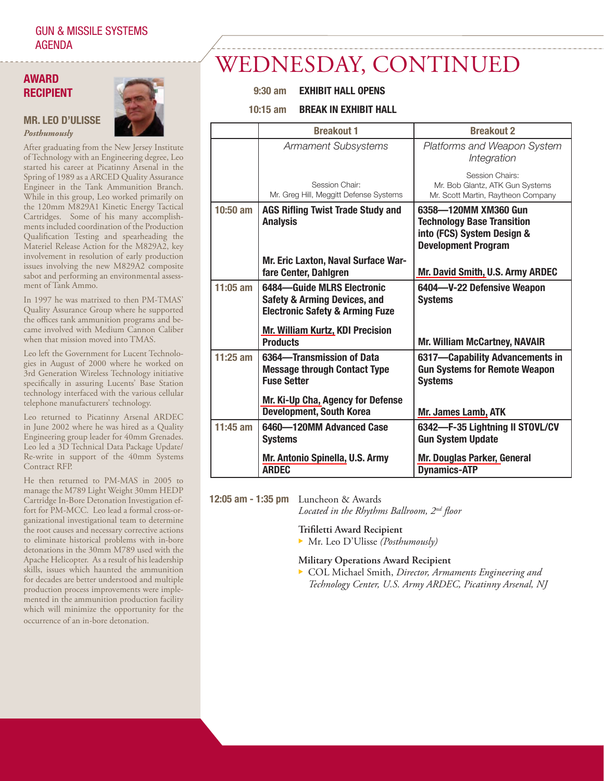#### **AWARD RECIPIENT**

**MR. LEO D'ULISSE** *Posthumously*



After graduating from the New Jersey Institute of Technology with an Engineering degree, Leo started his career at Picatinny Arsenal in the Spring of 1989 as a ARCED Quality Assurance Engineer in the Tank Ammunition Branch. While in this group, Leo worked primarily on the 120mm M829A1 Kinetic Energy Tactical Cartridges. Some of his many accomplishments included coordination of the Production Qualification Testing and spearheading the Materiel Release Action for the M829A2, key involvement in resolution of early production issues involving the new M829A2 composite sabot and performing an environmental assessment of Tank Ammo.

In 1997 he was matrixed to then PM-TMAS' Quality Assurance Group where he supported the offices tank ammunition programs and became involved with Medium Cannon Caliber when that mission moved into TMAS.

Leo left the Government for Lucent Technologies in August of 2000 where he worked on 3rd Generation Wireless Technology initiative specifically in assuring Lucents' Base Station technology interfaced with the various cellular telephone manufacturers' technology.

Leo returned to Picatinny Arsenal ARDEC in June 2002 where he was hired as a Quality Engineering group leader for 40mm Grenades. Leo led a 3D Technical Data Package Update/ Re-write in support of the 40mm Systems Contract RFP.

He then returned to PM-MAS in 2005 to manage the M789 Light Weight 30mm HEDP Cartridge In-Bore Detonation Investigation effort for PM-MCC. Leo lead a formal cross-organizational investigational team to determine the root causes and necessary corrective actions to eliminate historical problems with in-bore detonations in the 30mm M789 used with the Apache Helicopter. As a result of his leadership skills, issues which haunted the ammunition for decades are better understood and multiple production process improvements were implemented in the ammunition production facility which will minimize the opportunity for the occurrence of an in-bore detonation.

## WEDNESDAY, CONTINUED

#### **9:30 am EXHIBIT HALL OPENS**

#### **10:15 am BREAK IN EXHIBIT HALL**

|            | <b>Breakout 1</b>                                                                                                   | <b>Breakout 2</b>                                                                                                     |
|------------|---------------------------------------------------------------------------------------------------------------------|-----------------------------------------------------------------------------------------------------------------------|
|            | <b>Armament Subsystems</b>                                                                                          | Platforms and Weapon System<br>Integration                                                                            |
|            | Session Chair:<br>Mr. Greg Hill, Meggitt Defense Systems                                                            | Session Chairs:<br>Mr. Bob Glantz, ATK Gun Systems<br>Mr. Scott Martin, Raytheon Company                              |
| $10:50$ am | <b>AGS Rifling Twist Trade Study and</b><br><b>Analysis</b>                                                         | 6358-120MM XM360 Gun<br><b>Technology Base Transition</b><br>into (FCS) System Design &<br><b>Development Program</b> |
|            | Mr. Eric Laxton, Naval Surface War-<br>fare Center, Dahlgren                                                        | <b>Mr. David Smith, U.S. Army ARDEC</b>                                                                               |
| $11:05$ am | 6484-Guide MLRS Electronic<br><b>Safety &amp; Arming Devices, and</b><br><b>Electronic Safety &amp; Arming Fuze</b> | 6404-V-22 Defensive Weapon<br><b>Systems</b>                                                                          |
|            | <b>Mr. William Kurtz, KDI Precision</b><br><b>Products</b>                                                          | <b>Mr. William McCartney, NAVAIR</b>                                                                                  |
| $11:25$ am | 6364-Transmission of Data<br><b>Message through Contact Type</b><br><b>Fuse Setter</b>                              | 6317-Capability Advancements in<br><b>Gun Systems for Remote Weapon</b><br><b>Systems</b>                             |
|            | Mr. Ki-Up Cha, Agency for Defense<br><b>Development, South Korea</b>                                                | Mr. James Lamb, ATK                                                                                                   |
| $11:45$ am | 6460-120MM Advanced Case<br><b>Systems</b>                                                                          | 6342-F-35 Lightning II STOVL/CV<br><b>Gun System Update</b>                                                           |
|            | Mr. Antonio Spinella, U.S. Army<br><b>ARDEC</b>                                                                     | <b>Mr. Douglas Parker, General</b><br><b>Dynamics-ATP</b>                                                             |

**12:05 am - 1:35 pm** Luncheon & Awards

Located in the Rhythms Ballroom, 2<sup>nd</sup> floor

#### **Trifiletti Award Recipient**

<sup>X</sup> Mr. Leo D'Ulisse *(Posthumously)*

#### **Military Operations Award Recipient**

 <sup>X</sup> COL Michael Smith, *Director, Armaments Engineering and Technology Center, U.S. Army ARDEC, Picatinny Arsenal, NJ*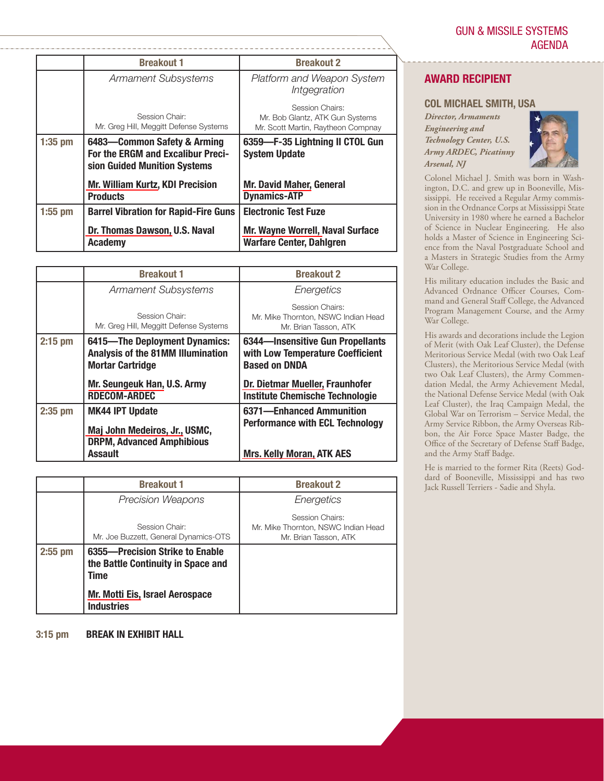|           | <b>Breakout 1</b>                                                                                | <b>Breakout 2</b>                                                                        |
|-----------|--------------------------------------------------------------------------------------------------|------------------------------------------------------------------------------------------|
|           | <b>Armament Subsystems</b>                                                                       | Platform and Weapon System<br>Intgegration                                               |
|           | Session Chair:<br>Mr. Greg Hill, Meggitt Defense Systems                                         | Session Chairs:<br>Mr. Bob Glantz, ATK Gun Systems<br>Mr. Scott Martin, Raytheon Compnay |
| $1:35$ pm | 6483-Common Safety & Arming<br>For the ERGM and Excalibur Preci-<br>sion Guided Munition Systems | 6359-F-35 Lightning II CTOL Gun<br><b>System Update</b>                                  |
|           | <b>Mr. William Kurtz, KDI Precision</b><br><b>Products</b>                                       | <b>Mr. David Maher, General</b><br><b>Dynamics-ATP</b>                                   |
| $1:55$ pm | <b>Barrel Vibration for Rapid-Fire Guns</b>                                                      | <b>Electronic Test Fuze</b>                                                              |
|           | Dr. Thomas Dawson, U.S. Naval<br><b>Academy</b>                                                  | <b>Mr. Wayne Worrell, Naval Surface</b><br><b>Warfare Center, Dahlgren</b>               |

|           | <b>Breakout 1</b>                                                                                    | <b>Breakout 2</b>                                                                            |
|-----------|------------------------------------------------------------------------------------------------------|----------------------------------------------------------------------------------------------|
|           | <b>Armament Subsystems</b>                                                                           | Energetics                                                                                   |
|           | Session Chair:<br>Mr. Greg Hill, Meggitt Defense Systems                                             | Session Chairs:<br>Mr. Mike Thornton, NSWC Indian Head<br>Mr. Brian Tasson, ATK              |
| $2:15$ pm | 6415-The Deployment Dynamics:<br><b>Analysis of the 81MM Illumination</b><br><b>Mortar Cartridge</b> | 6344-Insensitive Gun Propellants<br>with Low Temperature Coefficient<br><b>Based on DNDA</b> |
|           | Mr. Seungeuk Han, U.S. Army<br><b>RDECOM-ARDEC</b>                                                   | Dr. Dietmar Mueller, Fraunhofer<br><b>Institute Chemische Technologie</b>                    |
| $2:35$ pm | <b>MK44 IPT Update</b><br>Maj John Medeiros, Jr., USMC,<br><b>DRPM, Advanced Amphibious</b>          | 6371-Enhanced Ammunition<br><b>Performance with ECL Technology</b>                           |
|           | <b>Assault</b>                                                                                       | <b>Mrs. Kelly Moran, ATK AES</b>                                                             |

|           | <b>Breakout 1</b>                                                             | <b>Breakout 2</b>                                                               |
|-----------|-------------------------------------------------------------------------------|---------------------------------------------------------------------------------|
|           | <b>Precision Weapons</b>                                                      | Energetics                                                                      |
|           | Session Chair:<br>Mr. Joe Buzzett, General Dynamics-OTS                       | Session Chairs:<br>Mr. Mike Thornton, NSWC Indian Head<br>Mr. Brian Tasson, ATK |
| $2:55$ pm | 6355-Precision Strike to Enable<br>the Battle Continuity in Space and<br>Time |                                                                                 |
|           | Mr. Motti Eis, Israel Aerospace<br><b>Industries</b>                          |                                                                                 |

**3:15 pm BREAK IN EXHIBIT HALL**

#### **AWARD RECIPIENT**

#### **COL MICHAEL SMITH, USA**

*Director, Armaments Engineering and Technology Center, U.S. Army ARDEC, Picatinny Arsenal, NJ*



Colonel Michael J. Smith was born in Washington, D.C. and grew up in Booneville, Mississippi. He received a Regular Army commission in the Ordnance Corps at Mississippi State University in 1980 where he earned a Bachelor of Science in Nuclear Engineering. He also holds a Master of Science in Engineering Science from the Naval Postgraduate School and a Masters in Strategic Studies from the Army War College.

His military education includes the Basic and Advanced Ordnance Officer Courses, Command and General Staff College, the Advanced Program Management Course, and the Army War College.

His awards and decorations include the Legion of Merit (with Oak Leaf Cluster), the Defense Meritorious Service Medal (with two Oak Leaf Clusters), the Meritorious Service Medal (with two Oak Leaf Clusters), the Army Commendation Medal, the Army Achievement Medal, the National Defense Service Medal (with Oak Leaf Cluster), the Iraq Campaign Medal, the Global War on Terrorism – Service Medal, the Army Service Ribbon, the Army Overseas Ribbon, the Air Force Space Master Badge, the Office of the Secretary of Defense Staff Badge, and the Army Staff Badge.

He is married to the former Rita (Reets) Goddard of Booneville, Mississippi and has two Jack Russell Terriers - Sadie and Shyla.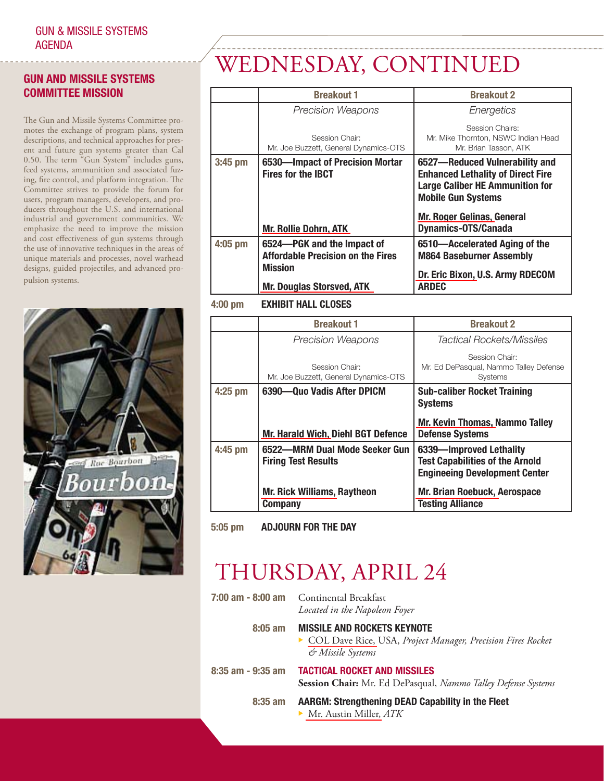#### **GUN AND MISSILE SYSTEMS COMMITTEE MISSION**

The Gun and Missile Systems Committee promotes the exchange of program plans, system descriptions, and technical approaches for present and future gun systems greater than Cal 0.50. The term "Gun System" includes guns, feed systems, ammunition and associated fuzing, fire control, and platform integration. The Committee strives to provide the forum for users, program managers, developers, and producers throughout the U.S. and international industrial and government communities. We emphasize the need to improve the mission and cost effectiveness of gun systems through the use of innovative techniques in the areas of unique materials and processes, novel warhead designs, guided projectiles, and advanced propulsion systems.



# WEDNESDAY, CONTINUED

|           | <b>Breakout 1</b>                                                                        | <b>Breakout 2</b>                                                                                                                                 |
|-----------|------------------------------------------------------------------------------------------|---------------------------------------------------------------------------------------------------------------------------------------------------|
|           | <b>Precision Weapons</b>                                                                 | Energetics                                                                                                                                        |
|           | Session Chair:<br>Mr. Joe Buzzett, General Dynamics-OTS                                  | Session Chairs:<br>Mr. Mike Thornton, NSWC Indian Head<br>Mr. Brian Tasson, ATK                                                                   |
| $3:45$ pm | 6530-Impact of Precision Mortar<br><b>Fires for the IBCT</b>                             | 6527-Reduced Vulnerability and<br><b>Enhanced Lethality of Direct Fire</b><br><b>Large Caliber HE Ammunition for</b><br><b>Mobile Gun Systems</b> |
|           | <b>Mr. Rollie Dohrn, ATK</b>                                                             | <b>Mr. Roger Gelinas, General</b><br><b>Dynamics-OTS/Canada</b>                                                                                   |
| 4:05 pm   | 6524-PGK and the Impact of<br><b>Affordable Precision on the Fires</b><br><b>Mission</b> | 6510-Accelerated Aging of the<br><b>M864 Baseburner Assembly</b>                                                                                  |
|           | <b>Mr. Douglas Storsved, ATK</b>                                                         | Dr. Eric Bixon, U.S. Army RDECOM<br><b>ARDEC</b>                                                                                                  |

#### **4:00 pm EXHIBIT HALL CLOSES**

|           | <b>Breakout 1</b>                                           | <b>Breakout 2</b>                                                                                         |
|-----------|-------------------------------------------------------------|-----------------------------------------------------------------------------------------------------------|
|           | <b>Precision Weapons</b>                                    | <b>Tactical Rockets/Missiles</b>                                                                          |
|           | Session Chair:<br>Mr. Joe Buzzett, General Dynamics-OTS     | Session Chair:<br>Mr. Ed DePasqual, Nammo Talley Defense<br><b>Systems</b>                                |
| $4:25$ pm | 6390-Ouo Vadis After DPICM                                  | <b>Sub-caliber Rocket Training</b><br><b>Systems</b>                                                      |
|           | <b>Mr. Harald Wich, Diehl BGT Defence</b>                   | <b>Mr. Kevin Thomas, Nammo Talley</b><br><b>Defense Systems</b>                                           |
| 4:45 pm   | 6522-MRM Dual Mode Seeker Gun<br><b>Firing Test Results</b> | 6339-Improved Lethality<br><b>Test Capabilities of the Arnold</b><br><b>Engineeing Development Center</b> |
|           | <b>Mr. Rick Williams, Raytheon</b><br><b>Company</b>        | Mr. Brian Roebuck, Aerospace<br><b>Testing Alliance</b>                                                   |

**5:05 pm ADJOURN FOR THE DAY**

# THURSDAY, APRIL 24

|                       | <b>7:00 am - 8:00 am</b> Continental Breakfast<br>Located in the Napoleon Foyer                                        |
|-----------------------|------------------------------------------------------------------------------------------------------------------------|
| $8:05$ am             | <b>MISSILE AND ROCKETS KEYNOTE</b><br>COL Dave Rice, USA, Project Manager, Precision Fires Rocket<br>& Missile Systems |
| $8:35$ am - $9:35$ am | <b>TACTICAL ROCKET AND MISSILES</b><br>Session Chair: Mr. Ed DePasqual, Nammo Talley Defense Systems                   |
| $8:35$ am             | <b>AARGM: Strengthening DEAD Capability in the Fleet</b>                                                               |

 $\blacktriangleright$  [Mr. Austin Miller,](www.dtic.mil/ndia/2008gun_missile/MillerAustin.pdf) *ATK*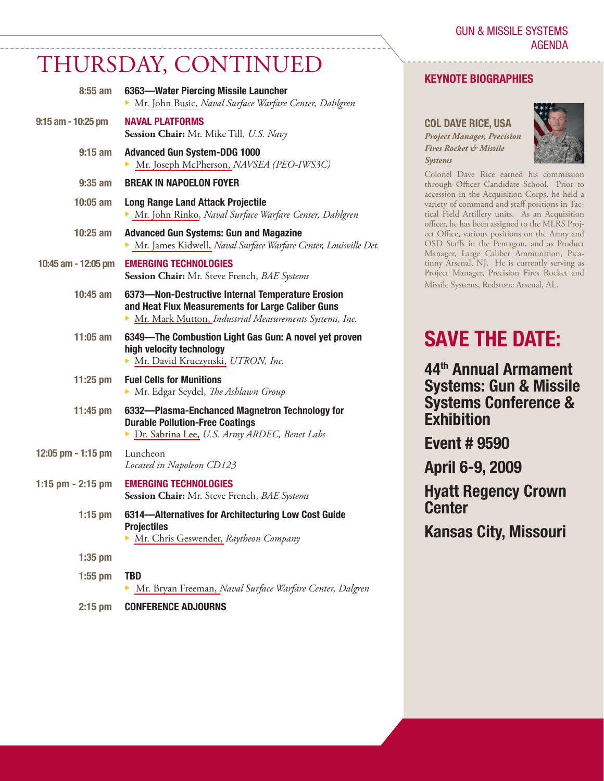GUN & MISSILE SYSTEMS AGENDA

### THURSDAY, CONTINUED

| $8:55$ am            | 6363-Water Piercing Missile Launcher<br>Mr. John Busic, Naval Surface Warfare Center, Dahlgren                                                                   |
|----------------------|------------------------------------------------------------------------------------------------------------------------------------------------------------------|
| $9:15$ am - 10:25 pm | <b>NAVAL PLATFORMS</b><br>Session Chair: Mr. Mike Till, U.S. Navy                                                                                                |
| $9:15$ am            | <b>Advanced Gun System-DDG 1000</b><br>Mr. Joseph McPherson, NAVSEA (PEO-IWS3C)                                                                                  |
| $9:35$ am            | <b>BREAK IN NAPOELON FOYER</b>                                                                                                                                   |
| $10:05$ am           | <b>Long Range Land Attack Projectile</b><br>Mr. John Rinko, Naval Surface Warfare Center, Dahlgren                                                               |
| $10:25$ am           | <b>Advanced Gun Systems: Gun and Magazine</b><br>Mr. James Kidwell, Naval Surface Warfare Center, Louisville Det.                                                |
| 10:45 am - 12:05 pm  | <b>EMERGING TECHNOLOGIES</b><br>Session Chair: Mr. Steve French, BAE Systems                                                                                     |
| 10:45 am             | 6373-Non-Destructive Internal Temperature Erosion<br>and Heat Flux Measurements for Large Caliber Guns<br>Mr. Mark Mutton, Industrial Measurements Systems, Inc. |
| $11:05$ am           | 6349-The Combustion Light Gas Gun: A novel yet proven<br>high velocity technology<br>Mr. David Kruczynski, UTRON, Inc.                                           |
| $11:25$ pm           | <b>Fuel Cells for Munitions</b><br>Mr. Edgar Seydel, The Ashlawn Group                                                                                           |
| $11:45 \text{ pm}$   | 6332-Plasma-Enchanced Magnetron Technology for<br><b>Durable Pollution-Free Coatings</b><br>> Dr. Sabrina Lee, U.S. Army ARDEC, Benet Labs                       |
| 12:05 pm - 1:15 pm   | Luncheon<br>Located in Napoleon CD123                                                                                                                            |
| 1:15 pm $-$ 2:15 pm  | <b>EMERGING TECHNOLOGIES</b><br>Session Chair: Mr. Steve French, BAE Systems                                                                                     |
| $1:15$ pm            | 6314-Alternatives for Architecturing Low Cost Guide<br><b>Projectiles</b><br>• Mr. Chris Geswender, Raytheon Company                                             |
| $1:35$ pm            |                                                                                                                                                                  |
| $1:55$ pm            | <b>TBD</b><br>Mr. Bryan Freeman, Naval Surface Warfare Center, Dalgren<br>▶                                                                                      |

#### **KEYNOTE BIOGRAPHIES**

**COL DAVE RICE, USA** *Project Manager, Precision Fires Rocket & Missile Systems*



Colonel Dave Rice earned his commission through Officer Candidate School. Prior to accession in the Acquisition Corps, he held a variety of command and staff positions in Tactical Field Artillery units. As an Acquisition officer, he has been assigned to the MLRS Project Office, various positions on the Army and OSD Staffs in the Pentagon, and as Product Manager, Large Caliber Ammunition, Picatinny Arsenal, NJ. He is currently serving as Project Manager, Precision Fires Rocket and Missile Systems, Redstone Arsenal, AL.

### **SAVE THE DATE:**

**44th Annual Armament Systems: Gun & Missile Systems Conference & Exhibition**

**Event # 9590**

**April 6-9, 2009**

**Hyatt Regency Crown Center**

**Kansas City, Missouri**

**2:15 pm CONFERENCE ADJOURNS**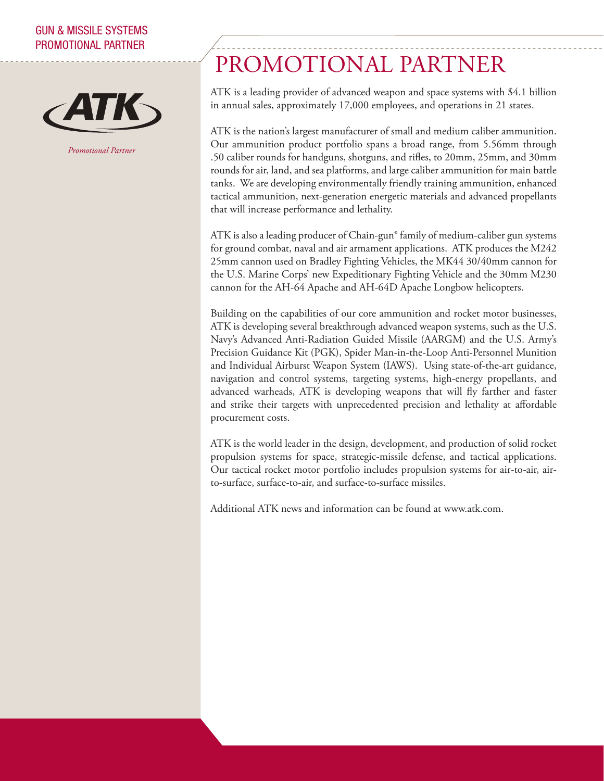#### GUN & MISSILE SYSTEMS PROMOTIONAL PARTNER



*Promotional Partner*

# PROMOTIONAL PARTNER

ATK is a leading provider of advanced weapon and space systems with \$4.1 billion in annual sales, approximately 17,000 employees, and operations in 21 states.

ATK is the nation's largest manufacturer of small and medium caliber ammunition. Our ammunition product portfolio spans a broad range, from 5.56mm through .50 caliber rounds for handguns, shotguns, and rifles, to 20mm, 25mm, and 30mm rounds for air, land, and sea platforms, and large caliber ammunition for main battle tanks. We are developing environmentally friendly training ammunition, enhanced tactical ammunition, next-generation energetic materials and advanced propellants that will increase performance and lethality.

ATK is also a leading producer of Chain-gun® family of medium-caliber gun systems for ground combat, naval and air armament applications. ATK produces the M242 25mm cannon used on Bradley Fighting Vehicles, the MK44 30/40mm cannon for the U.S. Marine Corps' new Expeditionary Fighting Vehicle and the 30mm M230 cannon for the AH-64 Apache and AH-64D Apache Longbow helicopters.

Building on the capabilities of our core ammunition and rocket motor businesses, ATK is developing several breakthrough advanced weapon systems, such as the U.S. Navy's Advanced Anti-Radiation Guided Missile (AARGM) and the U.S. Army's Precision Guidance Kit (PGK), Spider Man-in-the-Loop Anti-Personnel Munition and Individual Airburst Weapon System (IAWS). Using state-of-the-art guidance, navigation and control systems, targeting systems, high-energy propellants, and advanced warheads, ATK is developing weapons that will fly farther and faster and strike their targets with unprecedented precision and lethality at affordable procurement costs.

ATK is the world leader in the design, development, and production of solid rocket propulsion systems for space, strategic-missile defense, and tactical applications. Our tactical rocket motor portfolio includes propulsion systems for air-to-air, airto-surface, surface-to-air, and surface-to-surface missiles.

Additional ATK news and information can be found at www.atk.com.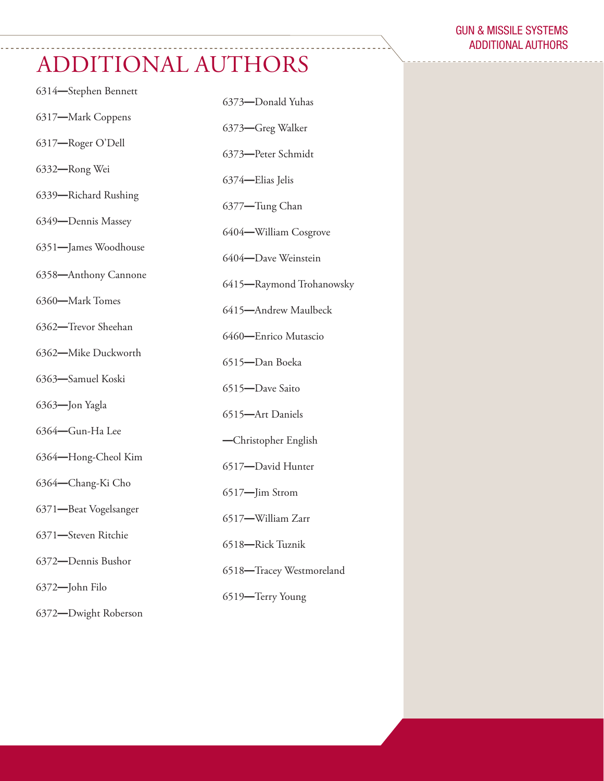# ADDITIONAL AUTHORS

| 6314-Stephen Bennett  | 6373-Donald Yuhas        |
|-----------------------|--------------------------|
| 6317-Mark Coppens     | 6373-Greg Walker         |
| 6317-Roger O'Dell     | 6373-Peter Schmidt       |
| 6332-Rong Wei         |                          |
| 6339-Richard Rushing  | 6374-Elias Jelis         |
| 6349-Dennis Massey    | 6377-Tung Chan           |
| 6351-James Woodhouse  | 6404-William Cosgrove    |
| 6358-Anthony Cannone  | 6404-Dave Weinstein      |
| 6360-Mark Tomes       | 6415-Raymond Trohanowsky |
|                       | 6415-Andrew Maulbeck     |
| 6362-Trevor Sheehan   | 6460-Enrico Mutascio     |
| 6362-Mike Duckworth   | 6515-Dan Boeka           |
| 6363-Samuel Koski     | 6515-Dave Saito          |
| 6363-Jon Yagla        | 6515-Art Daniels         |
| 6364-Gun-Ha Lee       | -Christopher English     |
| 6364-Hong-Cheol Kim   | 6517-David Hunter        |
| 6364-Chang-Ki Cho     | 6517-Jim Strom           |
| 6371-Beat Vogelsanger | 6517-William Zarr        |
| 6371-Steven Ritchie   | 6518-Rick Tuznik         |
| 6372-Dennis Bushor    | 6518-Tracey Westmoreland |
| 6372-John Filo        |                          |
| 6372-Dwight Roberson  | 6519-Terry Young         |

#### GUN & MISSILE SYSTEMS ADDITIONAL AUTHORS